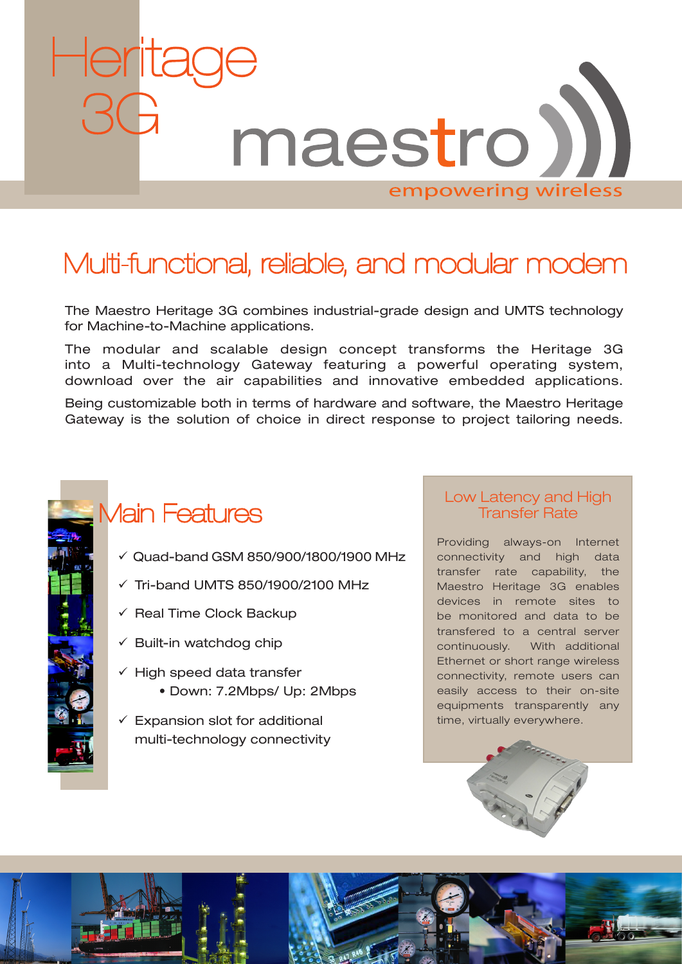

# Multi-functional, reliable, and modular modem

The Maestro Heritage 3G combines industrial-grade design and UMTS technology for Machine-to-Machine applications.

The modular and scalable design concept transforms the Heritage 3G into a Multi-technology Gateway featuring a powerful operating system, download over the air capabilities and innovative embedded applications.

Being customizable both in terms of hardware and software, the Maestro Heritage Gateway is the solution of choice in direct response to project tailoring needs.



# Main Features

- $\checkmark$  Quad-band GSM 850/900/1800/1900 MHz
- $\checkmark$  Tri-band UMTS 850/1900/2100 MHz
- $\checkmark$  Real Time Clock Backup
- $\checkmark$  Built-in watchdog chip
- $\checkmark$  High speed data transfer • Down: 7.2Mbps/ Up: 2Mbps
- $\checkmark$  Expansion slot for additional multi-technology connectivity

# Low Latency and High Transfer Rate

Providing always-on Internet connectivity and high data transfer rate capability, the Maestro Heritage 3G enables devices in remote sites to be monitored and data to be transfered to a central server continuously. With additional Ethernet or short range wireless connectivity, remote users can easily access to their on-site equipments transparently any time, virtually everywhere.